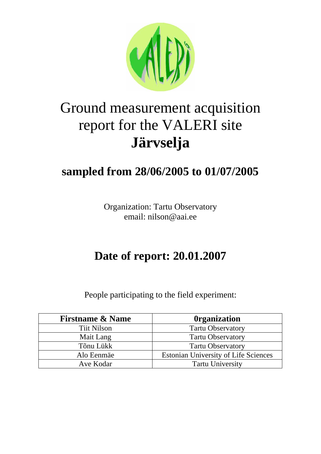

# Ground measurement acquisition report for the VALERI site **Järvselja**

## **sampled from 28/06/2005 to 01/07/2005**

Organization: Tartu Observatory email: nilson@aai.ee

## **Date of report: 20.01.2007**

People participating to the field experiment:

| <b>Firstname &amp; Name</b> | <b>Organization</b>                         |
|-----------------------------|---------------------------------------------|
| <b>Tiit Nilson</b>          | <b>Tartu Observatory</b>                    |
| Mait Lang                   | <b>Tartu Observatory</b>                    |
| Tõnu Lükk                   | <b>Tartu Observatory</b>                    |
| Alo Eenmäe                  | <b>Estonian University of Life Sciences</b> |
| Ave Kodar                   | <b>Tartu University</b>                     |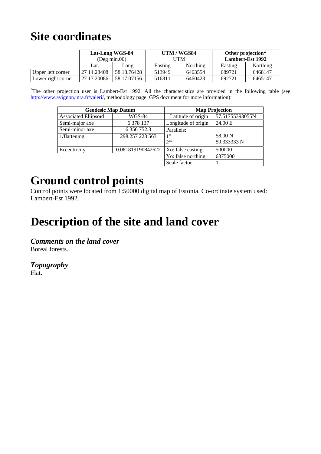### **Site coordinates**

|                    | Lat-Long WGS-84<br>$($ Deg min.00 $)$ |             | UTM / WGS84<br>UTM |                 | Other projection*<br><b>Lambert-Est 1992</b> |                 |
|--------------------|---------------------------------------|-------------|--------------------|-----------------|----------------------------------------------|-----------------|
|                    | Lat.                                  | Long.       | Easting            | <b>Northing</b> | Easting                                      | <b>Northing</b> |
| Upper left corner  | 27 14.28408                           | 58 18.76428 | 513949             | 6463554         | 689721                                       | 6468147         |
| Lower right corner | 27 17,20086                           | 58 17.07156 | 516811             | 6460423         | 692721                                       | 6465147         |

\* The other projection user is Lambert-Est 1992. All the characteristics are provided in the following table (see http://www.avignon.inra.fr/valeri/, methodology page, GPS document for more information):

| <b>Geodesic Map Datum</b> |                   | <b>Map Projection</b>       |                        |  |
|---------------------------|-------------------|-----------------------------|------------------------|--|
| Associated Ellipsoïd      | <b>WGS-84</b>     | Latitude of origin          | 57.51755393055N        |  |
| Semi-major axe            | 6 3 7 8 1 3 7     | Longitude of origin         | 24.00 E                |  |
| Semi-minor axe            | 6 356 752.3       | Parallels:                  |                        |  |
| 1/flattening              | 298.257 223 563   | 1 <sup>st</sup><br>$2^{nd}$ | 58.00 N<br>59.333333 N |  |
| Eccentricity              | 0.081819190842622 | Xo: false easting           | 500000                 |  |
|                           |                   | Yo: false northing          | 6375000                |  |
|                           |                   | Scale factor                |                        |  |

### **Ground control points**

Control points were located from 1:50000 digital map of Estonia. Co-ordinate system used: Lambert-Est 1992.

## **Description of the site and land cover**

*Comments on the land cover*  Boreal forests.

*Topography*  Flat.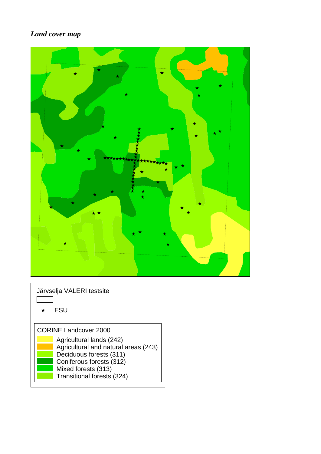#### *Land cover map*

| $\bigstar$<br>$\bigstar$<br>$\star$<br>÷<br>$\star$<br>$\star\star$<br>$\star$<br>$\star$<br>******<br>۰<br>$\star$<br>k<br>$\star$<br>$\star$<br>$\star$<br>$\star$<br>★★<br>$\star$<br>$\bigstar$<br>$\star$ |
|----------------------------------------------------------------------------------------------------------------------------------------------------------------------------------------------------------------|
| Järvselja VALERI testsite                                                                                                                                                                                      |

ESU $\star$ CORINE Landcover 2000 Agricultural lands (242) Agricultural and natural areas (243) Deciduous forests (311) Coniferous forests (312) Mixed forests (313) Transitional forests (324)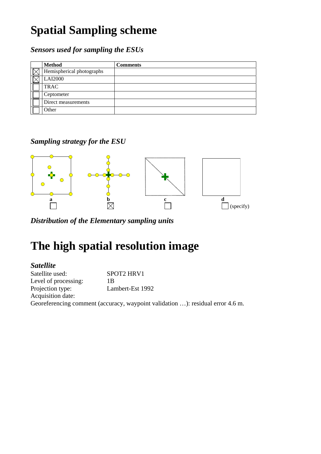## **Spatial Sampling scheme**

*Sensors used for sampling the ESUs* 

| <b>Method</b>             | <b>Comments</b> |
|---------------------------|-----------------|
| Hemispherical photographs |                 |
| <b>LAI2000</b>            |                 |
| <b>TRAC</b>               |                 |
| Ceptometer                |                 |
| Direct measurements       |                 |
| Other                     |                 |

*Sampling strategy for the ESU* 



*Distribution of the Elementary sampling units* 

## **The high spatial resolution image**

#### *Satellite*

Satellite used: SPOT2 HRV1 Level of processing: 1B Projection type: Lambert-Est 1992 Acquisition date: Georeferencing comment (accuracy, waypoint validation …): residual error 4.6 m.